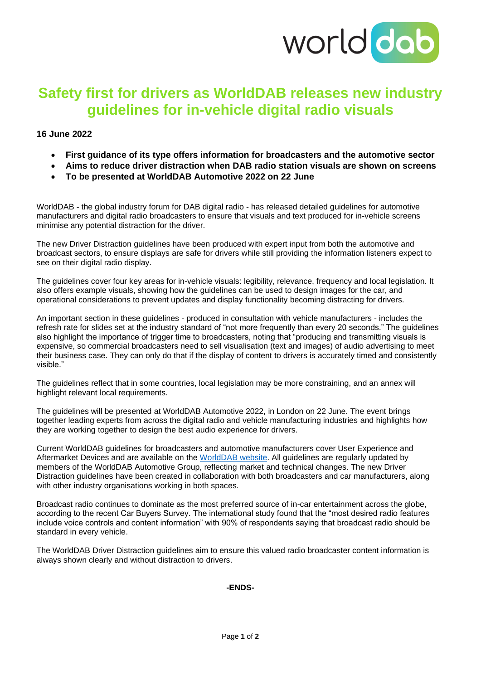

# **Safety first for drivers as WorldDAB releases new industry guidelines for in-vehicle digital radio visuals**

# **16 June 2022**

- **First guidance of its type offers information for broadcasters and the automotive sector**
- **Aims to reduce driver distraction when DAB radio station visuals are shown on screens**
- **To be presented at WorldDAB Automotive 2022 on 22 June**

WorldDAB - the global industry forum for DAB digital radio - has released detailed guidelines for automotive manufacturers and digital radio broadcasters to ensure that visuals and text produced for in-vehicle screens minimise any potential distraction for the driver.

The new Driver Distraction guidelines have been produced with expert input from both the automotive and broadcast sectors, to ensure displays are safe for drivers while still providing the information listeners expect to see on their digital radio display.

The guidelines cover four key areas for in-vehicle visuals: legibility, relevance, frequency and local legislation. It also offers example visuals, showing how the guidelines can be used to design images for the car, and operational considerations to prevent updates and display functionality becoming distracting for drivers.

An important section in these guidelines - produced in consultation with vehicle manufacturers - includes the refresh rate for slides set at the industry standard of "not more frequently than every 20 seconds." The guidelines also highlight the importance of trigger time to broadcasters, noting that "producing and transmitting visuals is expensive, so commercial broadcasters need to sell visualisation (text and images) of audio advertising to meet their business case. They can only do that if the display of content to drivers is accurately timed and consistently visible."

The guidelines reflect that in some countries, local legislation may be more constraining, and an annex will highlight relevant local requirements.

The guidelines will be presented at WorldDAB Automotive 2022, in London on 22 June. The event brings together leading experts from across the digital radio and vehicle manufacturing industries and highlights how they are working together to design the best audio experience for drivers.

Current WorldDAB guidelines for broadcasters and automotive manufacturers cover User Experience and Aftermarket Devices and are available on the [WorldDAB website.](https://www.worlddab.org/automotive/driver-distraction-guidelines) All guidelines are regularly updated by members of the WorldDAB Automotive Group, reflecting market and technical changes. The new Driver Distraction guidelines have been created in collaboration with both broadcasters and car manufacturers, along with other industry organisations working in both spaces.

Broadcast radio continues to dominate as the most preferred source of in-car entertainment across the globe, according to the recent Car Buyers Survey. The international study found that the "most desired radio features include voice controls and content information" with 90% of respondents saying that broadcast radio should be standard in every vehicle.

The WorldDAB Driver Distraction guidelines aim to ensure this valued radio broadcaster content information is always shown clearly and without distraction to drivers.

#### **-ENDS-**